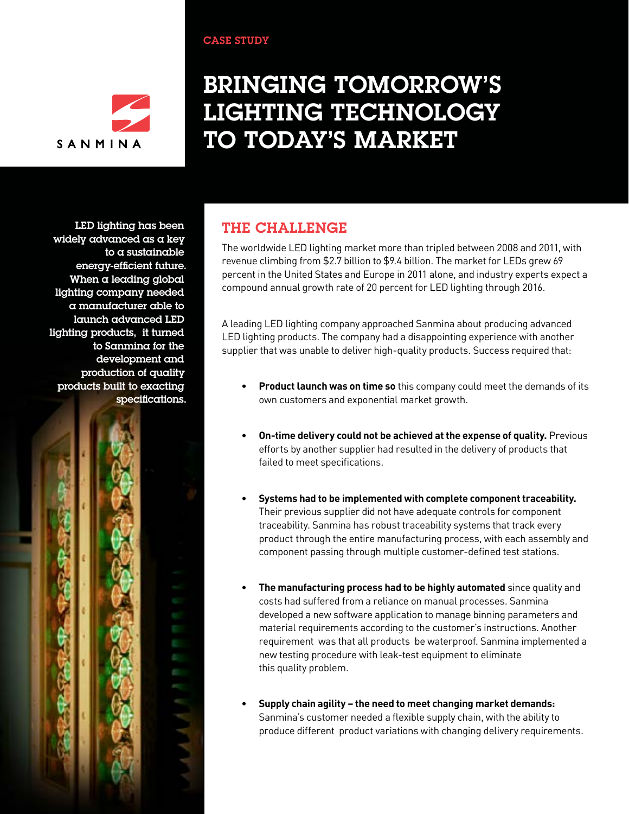# SANMIN

# Bringing Tomorrow's Lighting Technology to Today's Market

LED lighting has been widely advanced as a key to a sustainable energy-efficient future. When a leading global lighting company needed a manufacturer able to launch advanced LED lighting products, it turned to Sanmina for the development and production of quality products built to exacting specifications.



## The CHALLENGE

CASE STUDY

The worldwide LED lighting market more than tripled between 2008 and 2011, with revenue climbing from \$2.7 billion to \$9.4 billion. The market for LEDs grew 69 percent in the United States and Europe in 2011 alone, and industry experts expect a compound annual growth rate of 20 percent for LED lighting through 2016.

A leading LED lighting company approached Sanmina about producing advanced LED lighting products. The company had a disappointing experience with another supplier that was unable to deliver high-quality products. Success required that:

- **Product launch was on time so** this company could meet the demands of its own customers and exponential market growth.
- **On-time delivery could not be achieved at the expense of quality.** Previous efforts by another supplier had resulted in the delivery of products that failed to meet specifications.
- **Systems had to be implemented with complete component traceability.**  Their previous supplier did not have adequate controls for component traceability. Sanmina has robust traceability systems that track every product through the entire manufacturing process, with each assembly and component passing through multiple customer-defined test stations.
- The manufacturing process had to be highly automated since quality and costs had suffered from a reliance on manual processes. Sanmina developed a new software application to manage binning parameters and material requirements according to the customer's instructions. Another requirement was that all products be waterproof. Sanmina implemented a new testing procedure with leak-test equipment to eliminate this quality problem.
- Supply chain agility the need to meet changing market demands: Sanmina's customer needed a flexible supply chain, with the ability to produce different product variations with changing delivery requirements.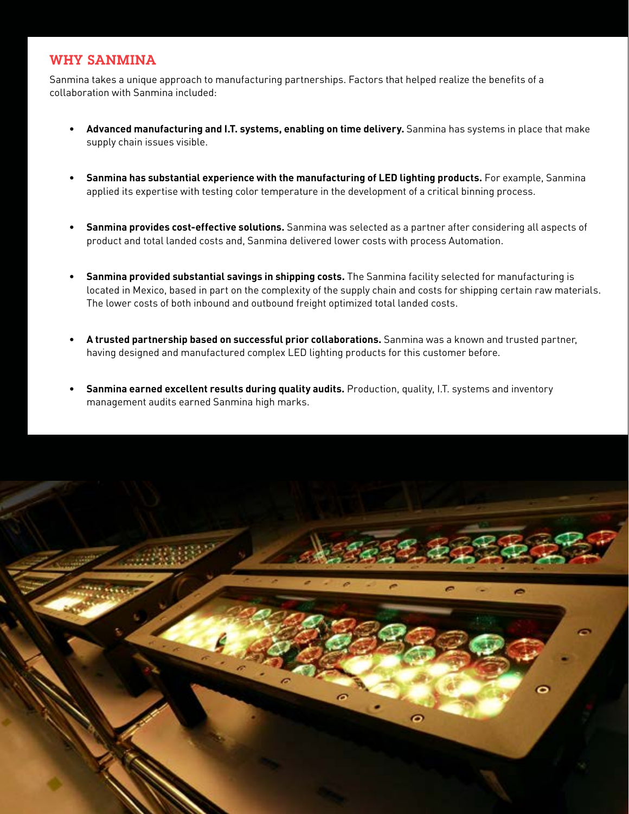#### WHY SANMINA

I

Sanmina takes a unique approach to manufacturing partnerships. Factors that helped realize the benefits of a collaboration with Sanmina included:

- • **Advanced manufacturing and I.T. systems, enabling on time delivery.** Sanmina has systems in place that make supply chain issues visible.
- • **Sanmina has substantial experience with the manufacturing of LED lighting products.** For example, Sanmina applied its expertise with testing color temperature in the development of a critical binning process.
- **Sanmina provides cost-effective solutions.** Sanmina was selected as a partner after considering all aspects of product and total landed costs and, Sanmina delivered lower costs with process Automation.
- • **Sanmina provided substantial savings in shipping costs.** The Sanmina facility selected for manufacturing is located in Mexico, based in part on the complexity of the supply chain and costs for shipping certain raw materials. The lower costs of both inbound and outbound freight optimized total landed costs.
- A trusted partnership based on successful prior collaborations. Sanmina was a known and trusted partner, having designed and manufactured complex LED lighting products for this customer before.
- Sanmina earned excellent results during quality audits. Production, quality, I.T. systems and inventory management audits earned Sanmina high marks.

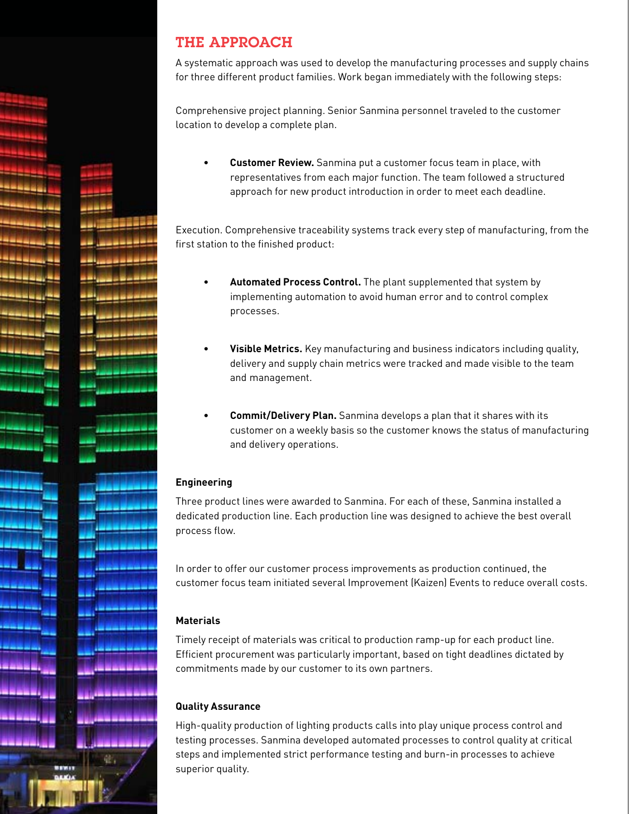### THE APPROACH

A systematic approach was used to develop the manufacturing processes and supply chains for three different product families. Work began immediately with the following steps:

Comprehensive project planning. Senior Sanmina personnel traveled to the customer location to develop a complete plan.

**Customer Review.** Sanmina put a customer focus team in place, with representatives from each major function. The team followed a structured approach for new product introduction in order to meet each deadline.

Execution. Comprehensive traceability systems track every step of manufacturing, from the first station to the finished product:

- Automated Process Control. The plant supplemented that system by implementing automation to avoid human error and to control complex processes.
- **Visible Metrics.** Key manufacturing and business indicators including quality, delivery and supply chain metrics were tracked and made visible to the team and management.
- Commit/Delivery Plan. Sanmina develops a plan that it shares with its customer on a weekly basis so the customer knows the status of manufacturing and delivery operations.

#### **Engineering**

Three product lines were awarded to Sanmina. For each of these, Sanmina installed a dedicated production line. Each production line was designed to achieve the best overall process flow.

In order to offer our customer process improvements as production continued, the customer focus team initiated several Improvement (Kaizen) Events to reduce overall costs.

#### **Materials**

Timely receipt of materials was critical to production ramp-up for each product line. Efficient procurement was particularly important, based on tight deadlines dictated by commitments made by our customer to its own partners.

#### **Quality Assurance**

High-quality production of lighting products calls into play unique process control and testing processes. Sanmina developed automated processes to control quality at critical steps and implemented strict performance testing and burn-in processes to achieve superior quality.